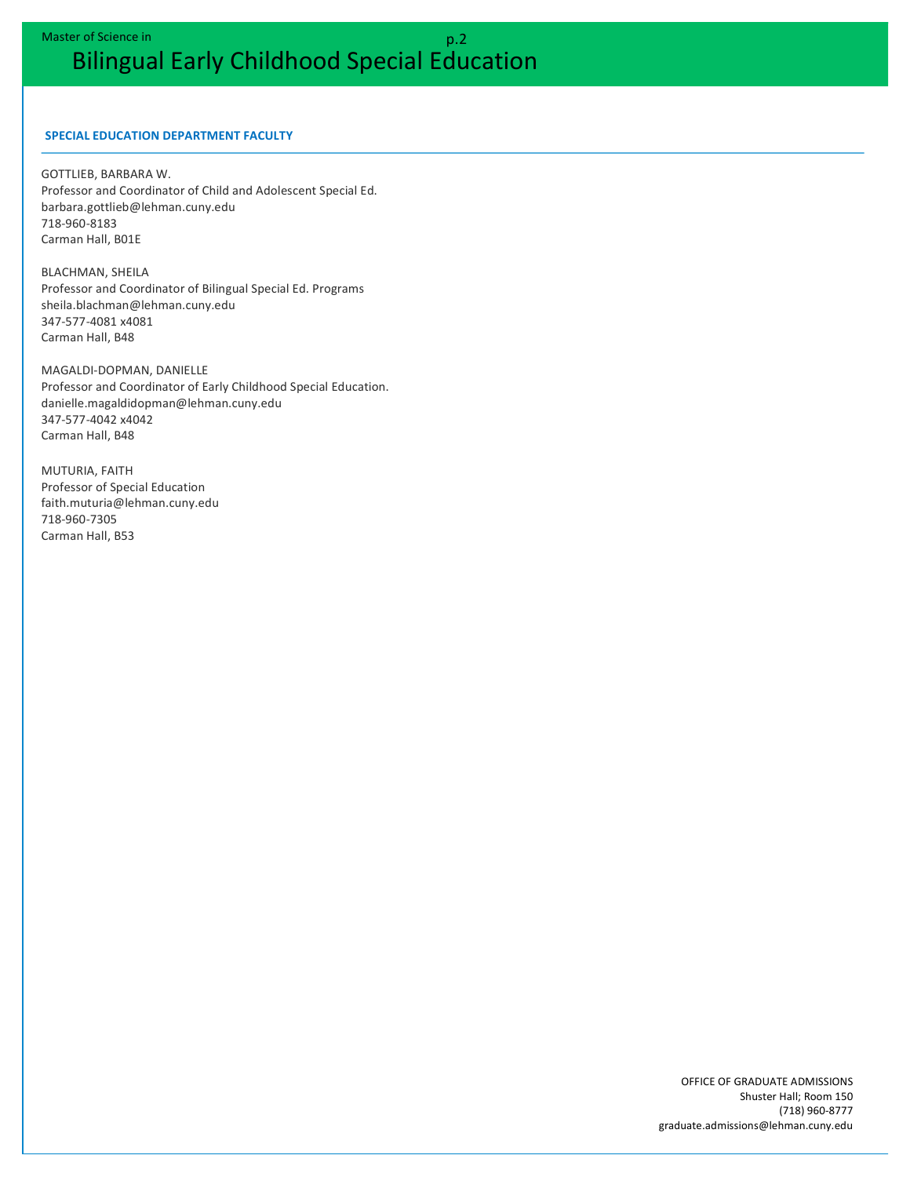## **SPECIAL EDUCATION DEPARTMENT FACULTY**

**GOTTLIEB, BARBARA W.** Professor and Coordinator of Child and Adolescent Special Ed. barbara.gottlieb@lehman.cuny.edu 718-960-8183 Carman Hall, B01E

**BLACHMAN, SHEILA** Professor and Coordinator of Bilingual Special Ed. Programs sheila.blachman@lehman.cuny.edu 347-577-4081 x4081 Carman Hall, B48

MAGALDI-DOPMAN, DANIELLE Professor and Coordinator of Early Childhood Special Education. danielle.magaldidopman@lehman.cuny.edu 347-577-4042 x4042 Carman Hall, B48

**MUTURIA, FAITH** Professor of Special Education faith.muturia@lehman.cuny.edu 718-960-7305 Carman Hall, B53